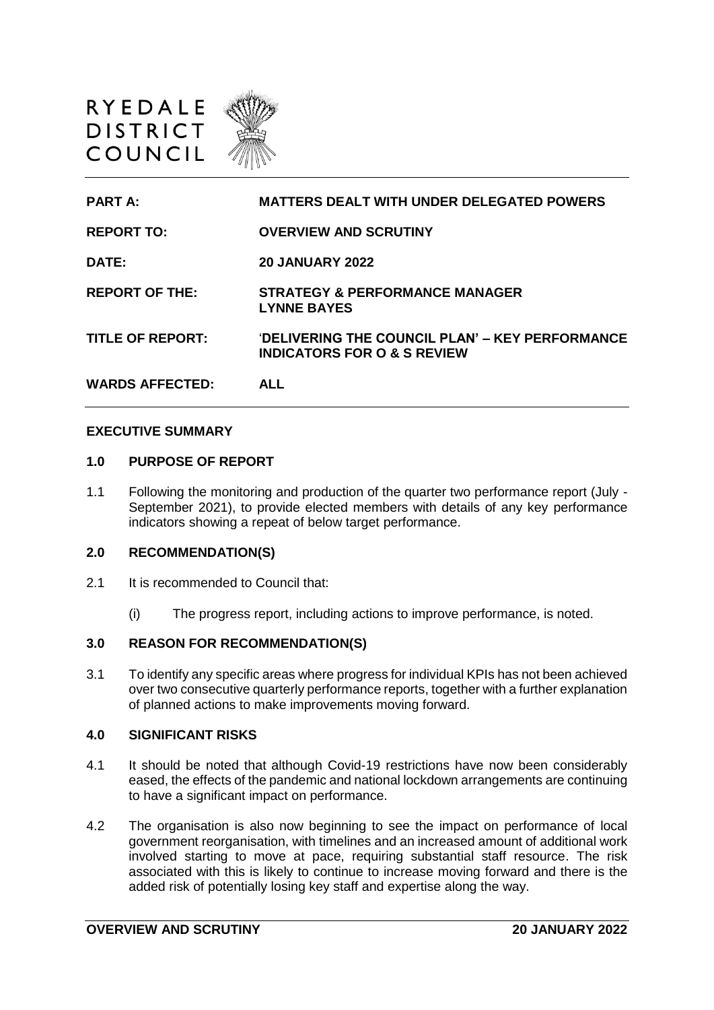



### **EXECUTIVE SUMMARY**

#### **1.0 PURPOSE OF REPORT**

1.1 Following the monitoring and production of the quarter two performance report (July - September 2021), to provide elected members with details of any key performance indicators showing a repeat of below target performance.

#### **2.0 RECOMMENDATION(S)**

- 2.1 It is recommended to Council that:
	- (i) The progress report, including actions to improve performance, is noted.

### **3.0 REASON FOR RECOMMENDATION(S)**

3.1 To identify any specific areas where progress for individual KPIs has not been achieved over two consecutive quarterly performance reports, together with a further explanation of planned actions to make improvements moving forward.

### **4.0 SIGNIFICANT RISKS**

- 4.1 It should be noted that although Covid-19 restrictions have now been considerably eased, the effects of the pandemic and national lockdown arrangements are continuing to have a significant impact on performance.
- 4.2 The organisation is also now beginning to see the impact on performance of local government reorganisation, with timelines and an increased amount of additional work involved starting to move at pace, requiring substantial staff resource. The risk associated with this is likely to continue to increase moving forward and there is the added risk of potentially losing key staff and expertise along the way.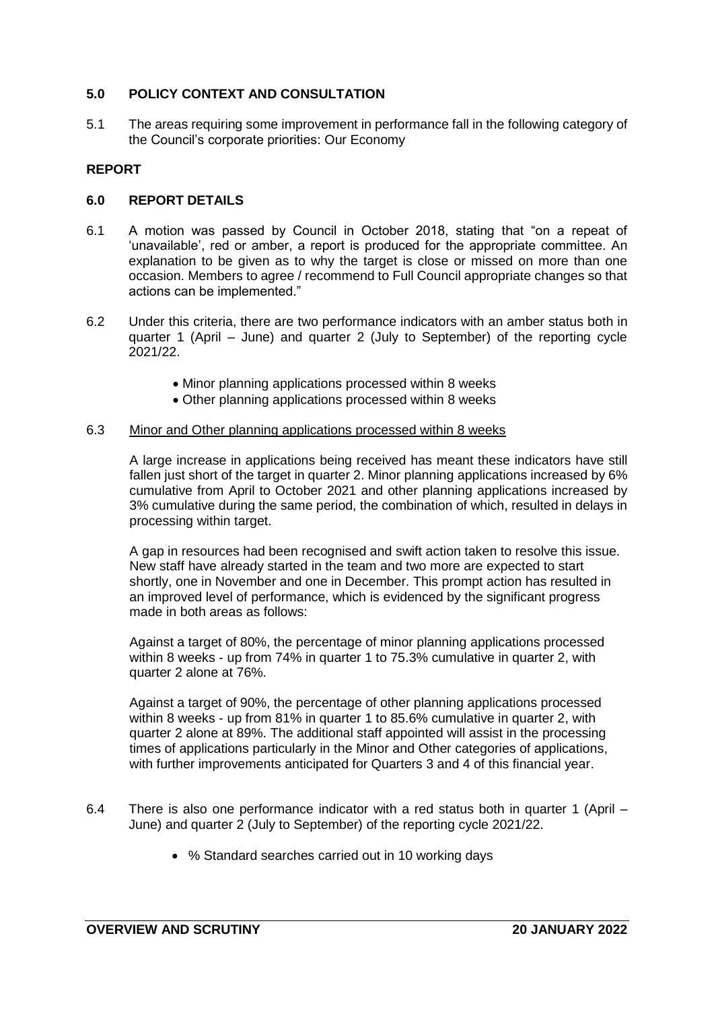# **5.0 POLICY CONTEXT AND CONSULTATION**

5.1 The areas requiring some improvement in performance fall in the following category of the Council's corporate priorities: Our Economy

# **REPORT**

# **6.0 REPORT DETAILS**

- 6.1 A motion was passed by Council in October 2018, stating that "on a repeat of 'unavailable', red or amber, a report is produced for the appropriate committee. An explanation to be given as to why the target is close or missed on more than one occasion. Members to agree / recommend to Full Council appropriate changes so that actions can be implemented."
- 6.2 Under this criteria, there are two performance indicators with an amber status both in quarter 1 (April – June) and quarter 2 (July to September) of the reporting cycle 2021/22.
	- Minor planning applications processed within 8 weeks
	- Other planning applications processed within 8 weeks

# 6.3 Minor and Other planning applications processed within 8 weeks

A large increase in applications being received has meant these indicators have still fallen just short of the target in quarter 2. Minor planning applications increased by 6% cumulative from April to October 2021 and other planning applications increased by 3% cumulative during the same period, the combination of which, resulted in delays in processing within target.

A gap in resources had been recognised and swift action taken to resolve this issue. New staff have already started in the team and two more are expected to start shortly, one in November and one in December. This prompt action has resulted in an improved level of performance, which is evidenced by the significant progress made in both areas as follows:

Against a target of 80%, the percentage of minor planning applications processed within 8 weeks - up from 74% in quarter 1 to 75.3% cumulative in quarter 2, with quarter 2 alone at 76%.

Against a target of 90%, the percentage of other planning applications processed within 8 weeks - up from 81% in quarter 1 to 85.6% cumulative in quarter 2, with quarter 2 alone at 89%. The additional staff appointed will assist in the processing times of applications particularly in the Minor and Other categories of applications, with further improvements anticipated for Quarters 3 and 4 of this financial year.

- 6.4 There is also one performance indicator with a red status both in quarter 1 (April June) and quarter 2 (July to September) of the reporting cycle 2021/22.
	- % Standard searches carried out in 10 working days